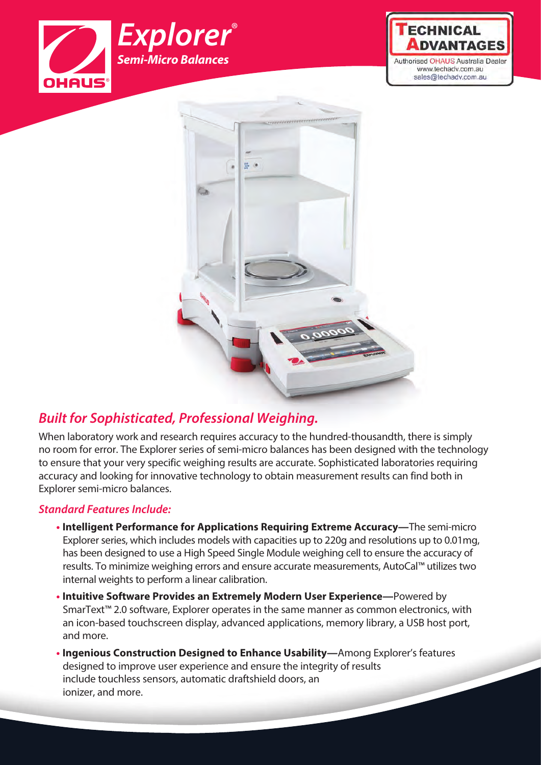





## *Built for Sophisticated, Professional Weighing.*

When laboratory work and research requires accuracy to the hundred-thousandth, there is simply no room for error. The Explorer series of semi-micro balances has been designed with the technology to ensure that your very specific weighing results are accurate. Sophisticated laboratories requiring accuracy and looking for innovative technology to obtain measurement results can find both in Explorer semi-micro balances.

### *Standard Features Include:*

- **• Intelligent Performance for Applications Requiring Extreme Accuracy—**The semi-micro Explorer series, which includes models with capacities up to 220g and resolutions up to 0.01mg, has been designed to use a High Speed Single Module weighing cell to ensure the accuracy of results. To minimize weighing errors and ensure accurate measurements, AutoCal™ utilizes two internal weights to perform a linear calibration.
- **• Intuitive Software Provides an Extremely Modern User Experience—**Powered by SmarText<sup>™</sup> 2.0 software, Explorer operates in the same manner as common electronics, with an icon-based touchscreen display, advanced applications, memory library, a USB host port, and more.
- **• Ingenious Construction Designed to Enhance Usability—**Among Explorer's features designed to improve user experience and ensure the integrity of results include touchless sensors, automatic draftshield doors, an ionizer, and more.